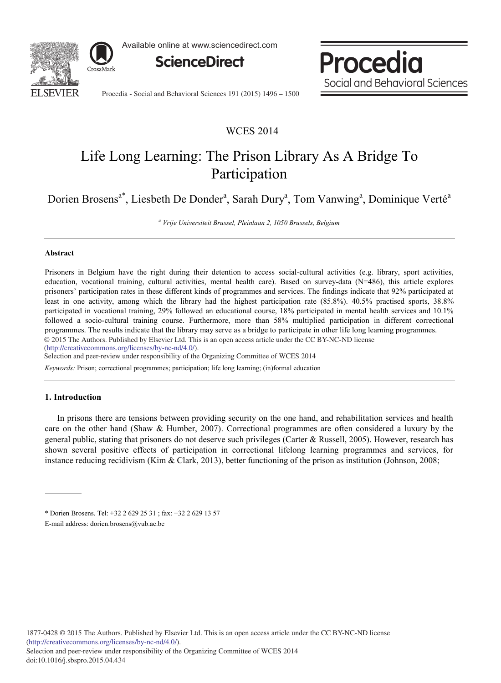

Available online at www.sciencedirect.com



Procedia Social and Behavioral Sciences

Procedia - Social and Behavioral Sciences 191 (2015) 1496 - 1500

## WCES 2014

# Life Long Learning: The Prison Library As A Bridge To Participation

Dorien Brosens<sup>a\*</sup>, Liesbeth De Donder<sup>a</sup>, Sarah Dury<sup>a</sup>, Tom Vanwing<sup>a</sup>, Dominique Verté<sup>a</sup>

*<sup>a</sup> Vrije Universiteit Brussel, Pleinlaan 2, 1050 Brussels, Belgium*

#### **Abstract**

Prisoners in Belgium have the right during their detention to access social-cultural activities (e.g. library, sport activities, education, vocational training, cultural activities, mental health care). Based on survey-data (N=486), this article explores prisoners' participation rates in these different kinds of programmes and services. The findings indicate that 92% participated at least in one activity, among which the library had the highest participation rate (85.8%). 40.5% practised sports, 38.8% participated in vocational training, 29% followed an educational course, 18% participated in mental health services and 10.1% followed a socio-cultural training course. Furthermore, more than 58% multiplied participation in different correctional programmes. The results indicate that the library may serve as a bridge to participate in other life long learning programmes. © 2014 The Authors. Published by Elsevier Ltd. © 2015 The Authors. Published by Elsevier Ltd. This is an open access article under the CC BY-NC-ND license

(http://creativecommons.org/licenses/by-nc-nd/4.0/).

Selection and peer-review under responsibility of the Organizing Committee of WCES 2014

*Keywords:* Prison; correctional programmes; participation; life long learning; (in)formal education

## **1. Introduction**

In prisons there are tensions between providing security on the one hand, and rehabilitation services and health care on the other hand (Shaw & Humber, 2007). Correctional programmes are often considered a luxury by the general public, stating that prisoners do not deserve such privileges (Carter & Russell, 2005). However, research has shown several positive effects of participation in correctional lifelong learning programmes and services, for instance reducing recidivism (Kim & Clark, 2013), better functioning of the prison as institution (Johnson, 2008;

<sup>\*</sup> Dorien Brosens. Tel: +32 2 629 25 31 ; fax: +32 2 629 13 57 E-mail address: dorien.brosens@vub.ac.be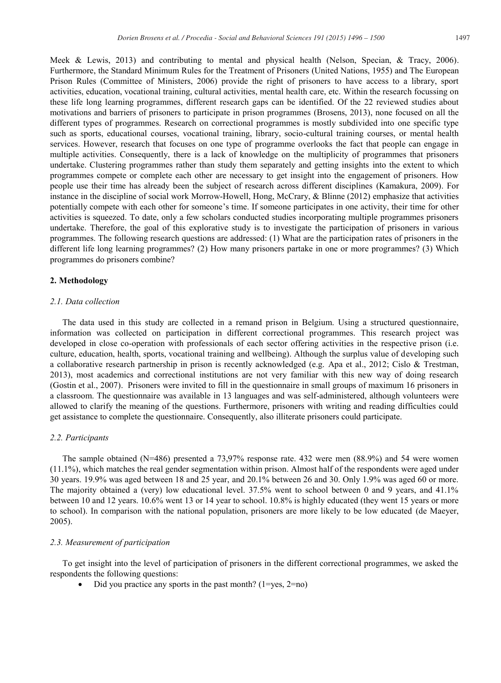Meek & Lewis, 2013) and contributing to mental and physical health (Nelson, Specian, & Tracy, 2006). Furthermore, the Standard Minimum Rules for the Treatment of Prisoners (United Nations, 1955) and The European Prison Rules (Committee of Ministers, 2006) provide the right of prisoners to have access to a library, sport activities, education, vocational training, cultural activities, mental health care, etc. Within the research focussing on these life long learning programmes, different research gaps can be identified. Of the 22 reviewed studies about motivations and barriers of prisoners to participate in prison programmes (Brosens, 2013), none focused on all the different types of programmes. Research on correctional programmes is mostly subdivided into one specific type such as sports, educational courses, vocational training, library, socio-cultural training courses, or mental health services. However, research that focuses on one type of programme overlooks the fact that people can engage in multiple activities. Consequently, there is a lack of knowledge on the multiplicity of programmes that prisoners undertake. Clustering programmes rather than study them separately and getting insights into the extent to which programmes compete or complete each other are necessary to get insight into the engagement of prisoners. How people use their time has already been the subject of research across different disciplines (Kamakura, 2009). For instance in the discipline of social work Morrow-Howell, Hong, McCrary, & Blinne (2012) emphasize that activities potentially compete with each other for someone's time. If someone participates in one activity, their time for other activities is squeezed. To date, only a few scholars conducted studies incorporating multiple programmes prisoners undertake. Therefore, the goal of this explorative study is to investigate the participation of prisoners in various programmes. The following research questions are addressed: (1) What are the participation rates of prisoners in the different life long learning programmes? (2) How many prisoners partake in one or more programmes? (3) Which programmes do prisoners combine?

#### **2. Methodology**

## *2.1. Data collection*

The data used in this study are collected in a remand prison in Belgium. Using a structured questionnaire, information was collected on participation in different correctional programmes. This research project was developed in close co-operation with professionals of each sector offering activities in the respective prison (i.e. culture, education, health, sports, vocational training and wellbeing). Although the surplus value of developing such a collaborative research partnership in prison is recently acknowledged (e.g. Apa et al., 2012; Cislo & Trestman, 2013), most academics and correctional institutions are not very familiar with this new way of doing research (Gostin et al., 2007). Prisoners were invited to fill in the questionnaire in small groups of maximum 16 prisoners in a classroom. The questionnaire was available in 13 languages and was self-administered, although volunteers were allowed to clarify the meaning of the questions. Furthermore, prisoners with writing and reading difficulties could get assistance to complete the questionnaire. Consequently, also illiterate prisoners could participate.

#### *2.2. Participants*

The sample obtained (N=486) presented a 73,97% response rate. 432 were men (88.9%) and 54 were women (11.1%), which matches the real gender segmentation within prison. Almost half of the respondents were aged under 30 years. 19.9% was aged between 18 and 25 year, and 20.1% between 26 and 30. Only 1.9% was aged 60 or more. The majority obtained a (very) low educational level. 37.5% went to school between 0 and 9 years, and 41.1% between 10 and 12 years. 10.6% went 13 or 14 year to school. 10.8% is highly educated (they went 15 years or more to school). In comparison with the national population, prisoners are more likely to be low educated (de Maeyer, 2005).

#### *2.3. Measurement of participation*

To get insight into the level of participation of prisoners in the different correctional programmes, we asked the respondents the following questions:

Did you practice any sports in the past month? ( $1 = yes$ ,  $2 = no$ )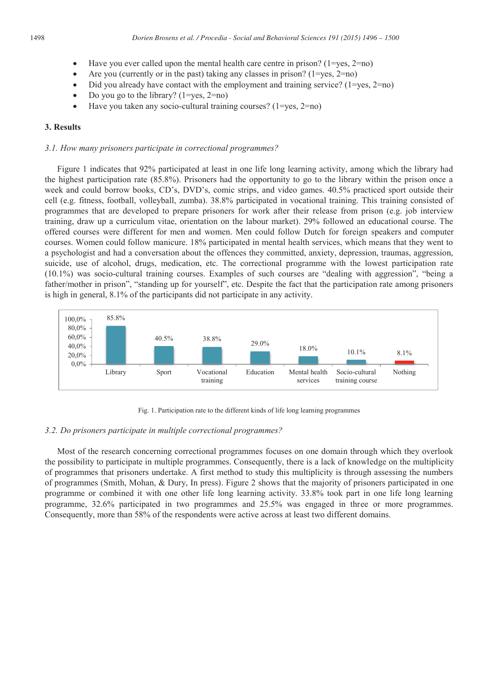- $\bullet$  Have you ever called upon the mental health care centre in prison? (1=yes, 2=no)
- Are you (currently or in the past) taking any classes in prison? ( $1 = yes, 2 = no$ )
- Did you already have contact with the employment and training service? (1=yes, 2=no)
- Do you go to the library?  $(1=ves, 2=no)$
- $\bullet$  Have you taken any socio-cultural training courses? (1=yes, 2=no)

### **3. Results**

#### *3.1. How many prisoners participate in correctional programmes?*

Figure 1 indicates that 92% participated at least in one life long learning activity, among which the library had the highest participation rate (85.8%). Prisoners had the opportunity to go to the library within the prison once a week and could borrow books, CD's, DVD's, comic strips, and video games. 40.5% practiced sport outside their cell (e.g. fitness, football, volleyball, zumba). 38.8% participated in vocational training. This training consisted of programmes that are developed to prepare prisoners for work after their release from prison (e.g. job interview training, draw up a curriculum vitae, orientation on the labour market). 29% followed an educational course. The offered courses were different for men and women. Men could follow Dutch for foreign speakers and computer courses. Women could follow manicure. 18% participated in mental health services, which means that they went to a psychologist and had a conversation about the offences they committed, anxiety, depression, traumas, aggression, suicide, use of alcohol, drugs, medication, etc. The correctional programme with the lowest participation rate (10.1%) was socio-cultural training courses. Examples of such courses are "dealing with aggression", "being a father/mother in prison", "standing up for yourself", etc. Despite the fact that the participation rate among prisoners is high in general, 8.1% of the participants did not participate in any activity.



Fig. 1. Participation rate to the different kinds of life long learning programmes

## *3.2. Do prisoners participate in multiple correctional programmes?*

Most of the research concerning correctional programmes focuses on one domain through which they overlook the possibility to participate in multiple programmes. Consequently, there is a lack of knowledge on the multiplicity of programmes that prisoners undertake. A first method to study this multiplicity is through assessing the numbers of programmes (Smith, Mohan, & Dury, In press). Figure 2 shows that the majority of prisoners participated in one programme or combined it with one other life long learning activity. 33.8% took part in one life long learning programme, 32.6% participated in two programmes and 25.5% was engaged in three or more programmes. Consequently, more than 58% of the respondents were active across at least two different domains.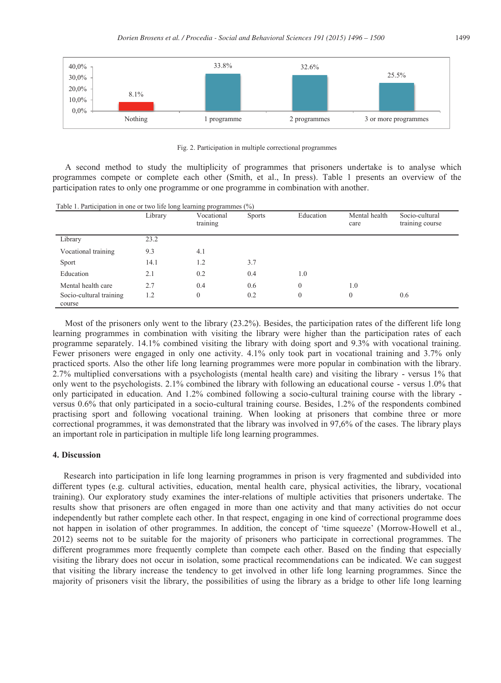

Fig. 2. Participation in multiple correctional programmes

A second method to study the multiplicity of programmes that prisoners undertake is to analyse which programmes compete or complete each other (Smith, et al., In press). Table 1 presents an overview of the participation rates to only one programme or one programme in combination with another.

| Table 1. Participation in one or two life long learning programmes $(\%)$ |         |                        |               |              |                       |                                   |
|---------------------------------------------------------------------------|---------|------------------------|---------------|--------------|-----------------------|-----------------------------------|
|                                                                           | Library | Vocational<br>training | <b>Sports</b> | Education    | Mental health<br>care | Socio-cultural<br>training course |
| Library                                                                   | 23.2    |                        |               |              |                       |                                   |
| Vocational training                                                       | 9.3     | 4.1                    |               |              |                       |                                   |
| Sport                                                                     | 14.1    | 1.2                    | 3.7           |              |                       |                                   |
| Education                                                                 | 2.1     | 0.2                    | 0.4           | 1.0          |                       |                                   |
| Mental health care                                                        | 2.7     | 0.4                    | 0.6           | $\mathbf{0}$ | 1.0                   |                                   |
| Socio-cultural training<br>course                                         | 1.2     | $\mathbf{0}$           | 0.2           | $\theta$     | $\Omega$              | 0.6                               |

Most of the prisoners only went to the library (23.2%). Besides, the participation rates of the different life long learning programmes in combination with visiting the library were higher than the participation rates of each programme separately. 14.1% combined visiting the library with doing sport and 9.3% with vocational training. Fewer prisoners were engaged in only one activity. 4.1% only took part in vocational training and 3.7% only practiced sports. Also the other life long learning programmes were more popular in combination with the library. 2.7% multiplied conversations with a psychologists (mental health care) and visiting the library - versus 1% that only went to the psychologists. 2.1% combined the library with following an educational course - versus 1.0% that only participated in education. And 1.2% combined following a socio-cultural training course with the library versus 0.6% that only participated in a socio-cultural training course. Besides, 1.2% of the respondents combined practising sport and following vocational training. When looking at prisoners that combine three or more correctional programmes, it was demonstrated that the library was involved in 97,6% of the cases. The library plays an important role in participation in multiple life long learning programmes.

## **4. Discussion**

 Research into participation in life long learning programmes in prison is very fragmented and subdivided into different types (e.g. cultural activities, education, mental health care, physical activities, the library, vocational training). Our exploratory study examines the inter-relations of multiple activities that prisoners undertake. The results show that prisoners are often engaged in more than one activity and that many activities do not occur independently but rather complete each other. In that respect, engaging in one kind of correctional programme does not happen in isolation of other programmes. In addition, the concept of 'time squeeze' (Morrow-Howell et al., 2012) seems not to be suitable for the majority of prisoners who participate in correctional programmes. The different programmes more frequently complete than compete each other. Based on the finding that especially visiting the library does not occur in isolation, some practical recommendations can be indicated. We can suggest that visiting the library increase the tendency to get involved in other life long learning programmes. Since the majority of prisoners visit the library, the possibilities of using the library as a bridge to other life long learning